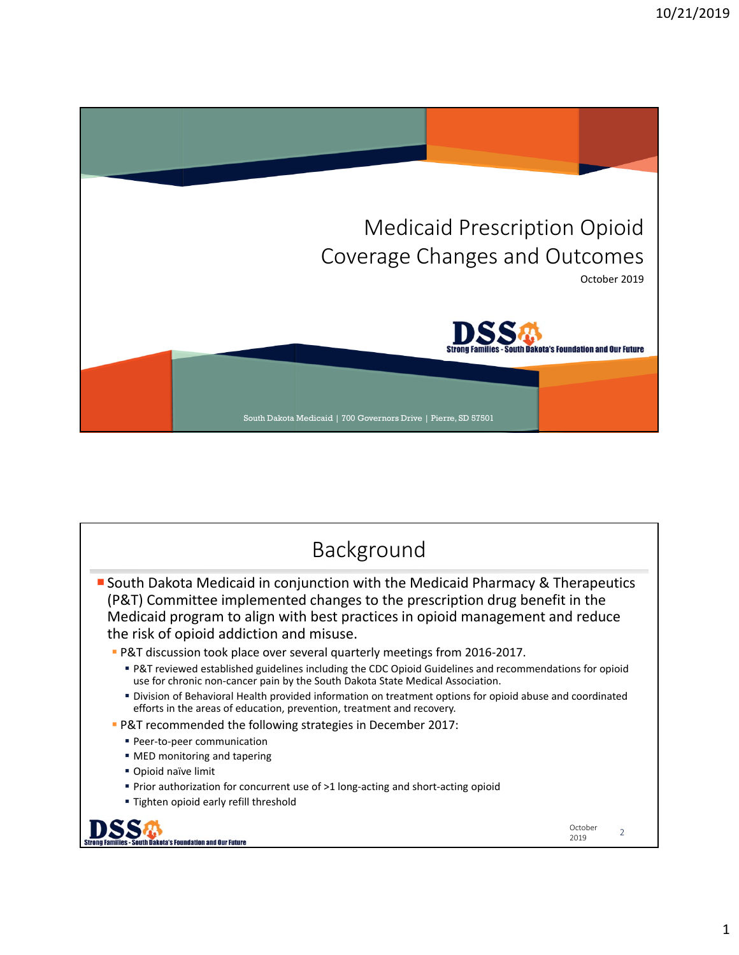

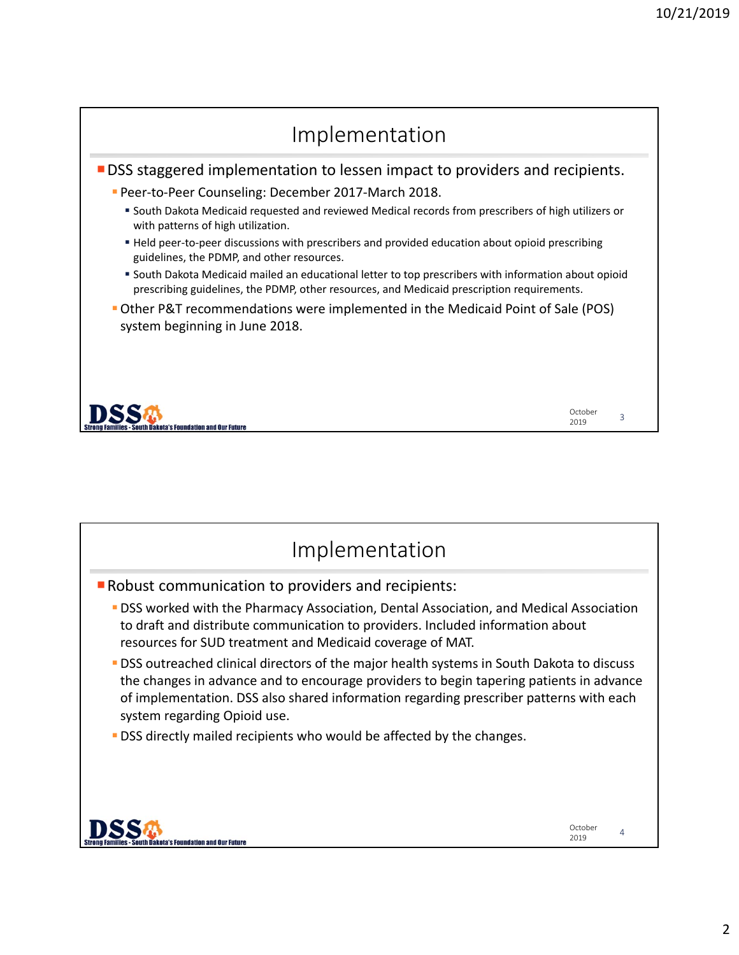

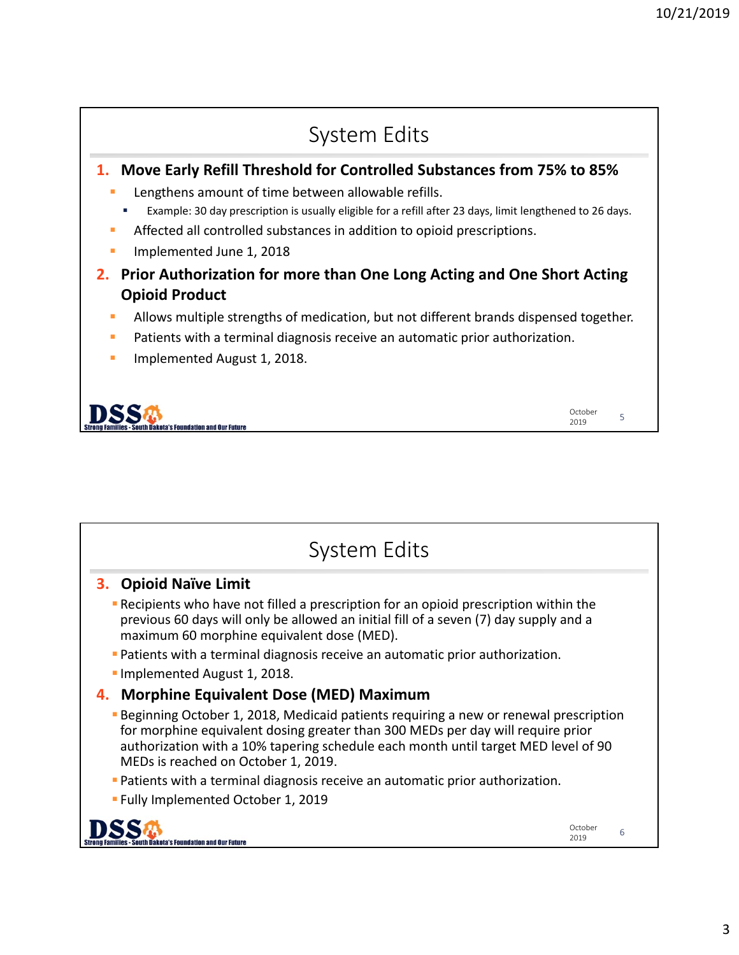

| System Edits                                                                                                                                                                                                                                                                                                |                 |   |
|-------------------------------------------------------------------------------------------------------------------------------------------------------------------------------------------------------------------------------------------------------------------------------------------------------------|-----------------|---|
| 3. Opioid Naïve Limit                                                                                                                                                                                                                                                                                       |                 |   |
| <b>-</b> Recipients who have not filled a prescription for an opioid prescription within the<br>previous 60 days will only be allowed an initial fill of a seven (7) day supply and a<br>maximum 60 morphine equivalent dose (MED).                                                                         |                 |   |
| <b>• Patients with a terminal diagnosis receive an automatic prior authorization.</b>                                                                                                                                                                                                                       |                 |   |
| Implemented August 1, 2018.                                                                                                                                                                                                                                                                                 |                 |   |
| 4. Morphine Equivalent Dose (MED) Maximum                                                                                                                                                                                                                                                                   |                 |   |
| <b>Beginning October 1, 2018, Medicaid patients requiring a new or renewal prescription</b><br>for morphine equivalent dosing greater than 300 MEDs per day will require prior<br>authorization with a 10% tapering schedule each month until target MED level of 90<br>MEDs is reached on October 1, 2019. |                 |   |
| <b>• Patients with a terminal diagnosis receive an automatic prior authorization.</b>                                                                                                                                                                                                                       |                 |   |
| <b>Examplemented October 1, 2019</b>                                                                                                                                                                                                                                                                        |                 |   |
|                                                                                                                                                                                                                                                                                                             | October<br>2019 | 6 |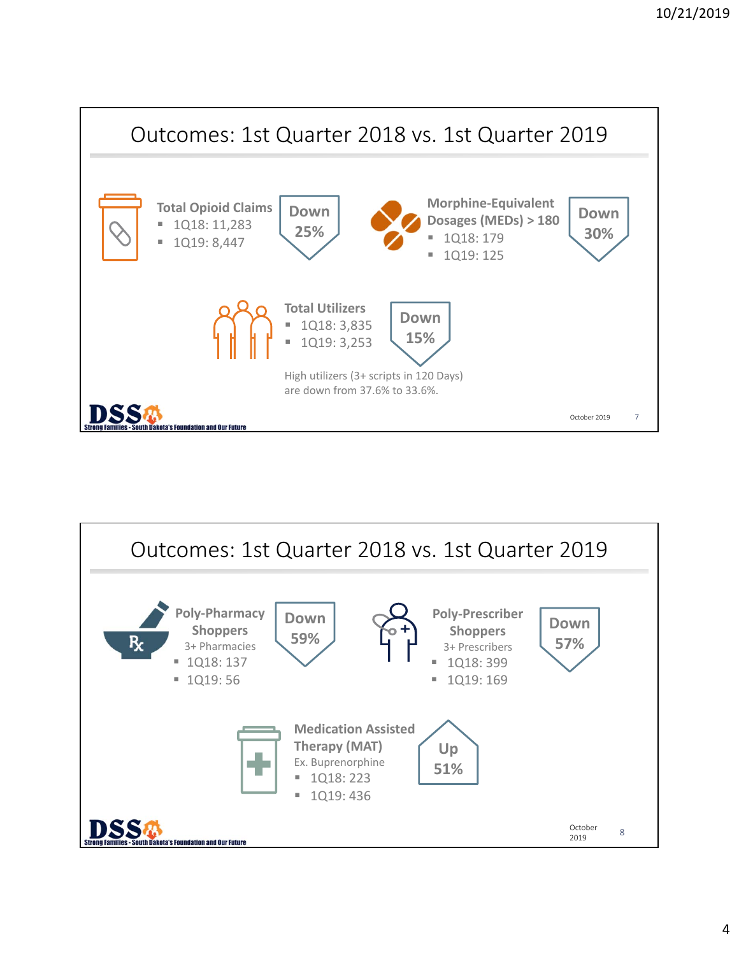